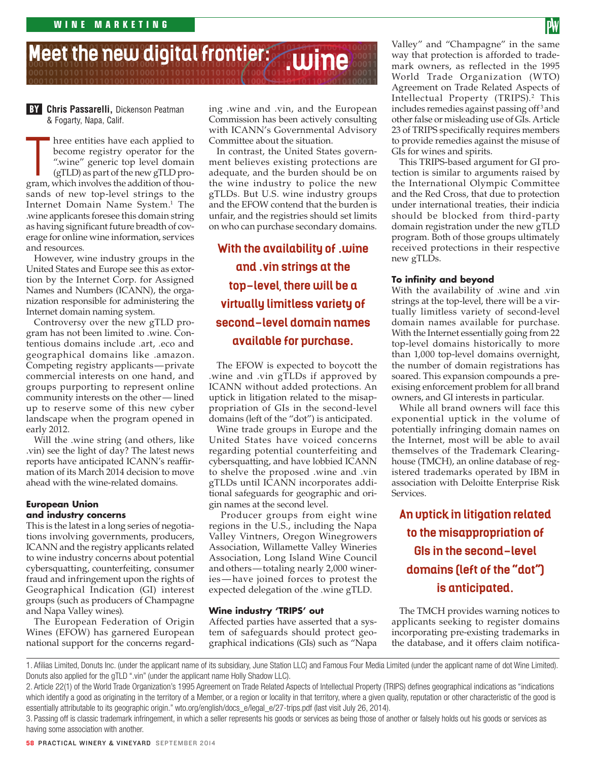#### **101101001010001011010110110100101000101101011011010010100010110110110100101000110101 101101001010001011010110110100101000101101011011010010100010110110110100101000110101 101101001010001011010110110100101000101101011011010010100010110110110100101000110101 101101001010001011010110110100101000101101011011010010100010110110110100101000110101 Meet the new digital frontier: .wine**

**101101001010001011010110110100101000101101011011010010100010110110110100101**

**Chris Passarelli,** Dickenson Peatman **BY** & Fogarty, Napa, Calif.

The entities have each applied to<br>become registry operator for the<br>"wine" generic top level domain<br>(gTLD) as part of the new gTLD pro-<br>gram. which involves the addition of thoubecome registry operator for the ".wine" generic top level domain (gTLD) as part of the new gTLD program, which involves the addition of thousands of new top-level strings to the Internet Domain Name System.<sup>1</sup> The .wine applicants foresee this domain string as having significant future breadth of coverage for online wine information, services and resources.

However, wine industry groups in the **APP of the new digital frontiers** United States and Europe see this as extortion by the Internet Corp. for Assigned Names and Numbers (ICANN), the organization responsible for administering the Internet domain naming system.

Controversy over the new gTLD program has not been limited to .wine. Contentious domains include .art, .eco and geographical domains like .amazon. Competing registry applicants—private commercial interests on one hand, and groups purporting to represent online community interests on the other — lined up to reserve some of this new cyber landscape when the program opened in early 2012.

Will the .wine string (and others, like .vin) see the light of day? The latest news reports have anticipated ICANN's reaffirmation of its March 2014 decision to move ahead with the wine-related domains.

## **European Union and industry concerns**

This is the latest in a long series of negotiations involving governments, producers, ICANN and the registry applicants related to wine industry concerns about potential cybersquatting, counterfeiting, consumer fraud and infringement upon the rights of Geographical Indication (GI) interest groups (such as producers of Champagne and Napa Valley wines).

The European Federation of Origin Wines (EFOW) has garnered European national support for the concerns regard-

**BY** Chris Passarelli, Dickenson Peatman ing .wine and .vin, and the European in Commission has been actively consulting with ICANN's Governmental Advisory Committee about the situation. **101101001010001011010110110100101000101101011011010010100010110110110100101000110101101101001010001011010110110100101000101101011011010010100010110110110100101000110101**

> In contrast, the United States government believes existing protections are adequate, and the burden should be on the wine industry to police the new gTLDs. But U.S. wine industry groups and the EFOW contend that the burden is unfair, and the registries should set limits on who can purchase secondary domains.

**With the availability of .wine and .vin strings at the top-level, there will be a virtually limitless variety of second-level domain names available for purchase.**

The EFOW is expected to boycott the .wine and .vin gTLDs if approved by ICANN without added protections. An uptick in litigation related to the misappropriation of GIs in the second-level domains (left of the "dot") is anticipated.

Wine trade groups in Europe and the United States have voiced concerns regarding potential counterfeiting and cybersquatting, and have lobbied ICANN to shelve the proposed .wine and .vin gTLDs until ICANN incorporates additional safeguards for geographic and origin names at the second level.

 Producer groups from eight wine regions in the U.S., including the Napa Valley Vintners, Oregon Winegrowers Association, Willamette Valley Wineries Association, Long Island Wine Council and others—totaling nearly 2,000 wineries — have joined forces to protest the expected delegation of the .wine gTLD.

### **Wine industry 'TRIPS' out**

Affected parties have asserted that a system of safeguards should protect geographical indications (GIs) such as "Napa

Valley" and "Champagne" in the same way that protection is afforded to trademark owners, as reflected in the 1995 World Trade Organization (WTO) Agreement on Trade Related Aspects of Intellectual Property (TRIPS).<sup>2</sup> This includes remedies against passing off<sup>3</sup> and other false or misleading use of GIs. Article 23 of TRIPS specifically requires members to provide remedies against the misuse of GIs for wines and spirits. **101101001010001011010110110100101000101101011011010010100010110110110100101000110101 101101001010001011010110110100101000101101011011010010100010110110110100101000110101**

> This TRIPS-based argument for GI protection is similar to arguments raised by the International Olympic Committee and the Red Cross, that due to protection under international treaties, their indicia should be blocked from third-party domain registration under the new gTLD program. Both of those groups ultimately received protections in their respective new gTLDs.

### **To infinity and beyond**

With the availability of .wine and .vin strings at the top-level, there will be a virtually limitless variety of second-level domain names available for purchase. With the Internet essentially going from 22 top-level domains historically to more than 1,000 top-level domains overnight, the number of domain registrations has soared. This expansion compounds a preexising enforcement problem for all brand owners, and GI interests in particular.

While all brand owners will face this exponential uptick in the volume of potentially infringing domain names on the Internet, most will be able to avail themselves of the Trademark Clearinghouse (TMCH), an online database of registered trademarks operated by IBM in association with Deloitte Enterprise Risk Services.

**An uptick in litigation related to the misappropriation of GIs in the second-level domains (left of the "dot") is anticipated.**

The TMCH provides warning notices to applicants seeking to register domains incorporating pre-existing trademarks in the database, and it offers claim notifica-

1. Afilias Limited, Donuts Inc. (under the applicant name of its subsidiary, June Station LLC) and Famous Four Media Limited (under the applicant name of dot Wine Limited). Donuts also applied for the gTLD ".vin" (under the applicant name Holly Shadow LLC).

<sup>2.</sup> Article 22(1) of the World Trade Organization's 1995 Agreement on Trade Related Aspects of Intellectual Property (TRIPS) defines geographical indications as "indications which identify a good as originating in the territory of a Member, or a region or locality in that territory, where a given quality, reputation or other characteristic of the good is essentially attributable to its geographic origin." wto.org/english/docs\_e/legal\_e/27-trips.pdf (last visit July 26, 2014).

<sup>3.</sup> Passing off is classic trademark infringement, in which a seller represents his goods or services as being those of another or falsely holds out his goods or services as having some association with another.